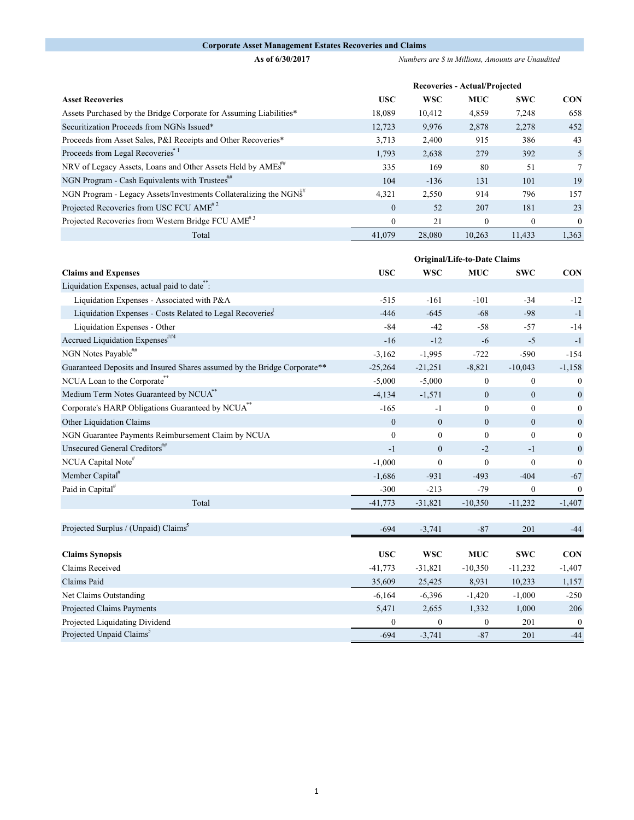## **Corporate Asset Management Estates Recoveries and Claims**

**As of 6/30/2017** *Numbers are \$ in Millions, Amounts are Unaudited* 

|                                                                         | <b>Recoveries - Actual/Projected</b> |            |            |              |                |  |
|-------------------------------------------------------------------------|--------------------------------------|------------|------------|--------------|----------------|--|
| <b>Asset Recoveries</b>                                                 | <b>USC</b>                           | <b>WSC</b> | <b>MUC</b> | <b>SWC</b>   | <b>CON</b>     |  |
| Assets Purchased by the Bridge Corporate for Assuming Liabilities*      | 18,089                               | 10,412     | 4,859      | 7,248        | 658            |  |
| Securitization Proceeds from NGNs Issued*                               | 12,723                               | 9,976      | 2,878      | 2,278        | 452            |  |
| Proceeds from Asset Sales, P&I Receipts and Other Recoveries*           | 3,713                                | 2,400      | 915        | 386          | 43             |  |
| Proceeds from Legal Recoveries <sup>*1</sup>                            | 1,793                                | 2,638      | 279        | 392          | 5              |  |
| NRV of Legacy Assets, Loans and Other Assets Held by AMEs <sup>##</sup> | 335                                  | 169        | 80         | 51           | 7              |  |
| NGN Program - Cash Equivalents with Trustees"                           | 104                                  | $-136$     | 131        | 101          | 19             |  |
| NGN Program - Legacy Assets/Investments Collateralizing the NGNS        | 4,321                                | 2,550      | 914        | 796          | 157            |  |
| Projected Recoveries from USC FCU AME <sup>#2</sup>                     | $\Omega$                             | 52         | 207        | 181          | 23             |  |
| Projected Recoveries from Western Bridge FCU AME <sup>#3</sup>          | $\mathbf{0}$                         | 21         | $\theta$   | $\mathbf{0}$ | $\overline{0}$ |  |
| Total                                                                   | 41,079                               | 28,080     | 10.263     | 11,433       | 1,363          |  |

|                                                                          | Original/Life-to-Date Claims |                  |                |                |                  |
|--------------------------------------------------------------------------|------------------------------|------------------|----------------|----------------|------------------|
| <b>Claims and Expenses</b>                                               | <b>USC</b>                   | <b>WSC</b>       | <b>MUC</b>     | <b>SWC</b>     | <b>CON</b>       |
| Liquidation Expenses, actual paid to date.                               |                              |                  |                |                |                  |
| Liquidation Expenses - Associated with P&A                               | $-515$                       | $-161$           | $-101$         | $-34$          | $-12$            |
| Liquidation Expenses - Costs Related to Legal Recoveries                 | $-446$                       | $-645$           | $-68$          | $-98$          | $-1$             |
| Liquidation Expenses - Other                                             | $-84$                        | $-42$            | $-58$          | $-57$          | $-14$            |
| Accrued Liquidation Expenses##4                                          | $-16$                        | $-12$            | $-6$           | $-5$           | $-1$             |
| NGN Notes Payable <sup>##</sup>                                          | $-3,162$                     | $-1,995$         | $-722$         | $-590$         | $-154$           |
| Guaranteed Deposits and Insured Shares assumed by the Bridge Corporate** | $-25,264$                    | $-21,251$        | $-8,821$       | $-10,043$      | $-1,158$         |
| NCUA Loan to the Corporate**                                             | $-5,000$                     | $-5,000$         | $\overline{0}$ | $\mathbf{0}$   | $\boldsymbol{0}$ |
| Medium Term Notes Guaranteed by NCUA <sup>**</sup>                       | $-4,134$                     | $-1,571$         | $\overline{0}$ | $\mathbf{0}$   | $\mathbf{0}$     |
| Corporate's HARP Obligations Guaranteed by NCUA <sup>**</sup>            | $-165$                       | $-1$             | $\mathbf{0}$   | $\mathbf{0}$   | $\boldsymbol{0}$ |
| Other Liquidation Claims                                                 | $\overline{0}$               | $\mathbf{0}$     | $\overline{0}$ | $\mathbf{0}$   | $\boldsymbol{0}$ |
| NGN Guarantee Payments Reimbursement Claim by NCUA                       | $\mathbf{0}$                 | $\overline{0}$   | $\theta$       | $\overline{0}$ | $\Omega$         |
| Unsecured General Creditors##                                            | $-1$                         | $\mathbf{0}$     | $-2$           | $-1$           | $\boldsymbol{0}$ |
| NCUA Capital Note#                                                       | $-1,000$                     | $\boldsymbol{0}$ | $\mathbf{0}$   | $\mathbf{0}$   | $\mathbf{0}$     |
| Member Capital <sup>#</sup>                                              | $-1,686$                     | $-931$           | $-493$         | $-404$         | $-67$            |
| Paid in Capital <sup>#</sup>                                             | $-300$                       | $-213$           | $-79$          | $\theta$       | $\boldsymbol{0}$ |
| Total                                                                    | $-41,773$                    | $-31,821$        | $-10,350$      | $-11,232$      | $-1,407$         |
|                                                                          |                              |                  |                |                |                  |
| Projected Surplus / (Unpaid) Claims <sup>3</sup>                         | $-694$                       | $-3,741$         | $-87$          | 201            | $-44$            |
|                                                                          |                              |                  |                |                |                  |
| <b>Claims Synopsis</b>                                                   | <b>USC</b>                   | <b>WSC</b>       | <b>MUC</b>     | <b>SWC</b>     | <b>CON</b>       |
| Claims Received                                                          | $-41,773$                    | $-31,821$        | $-10,350$      | $-11,232$      | $-1,407$         |
| Claims Paid                                                              | 35,609                       | 25,425           | 8,931          | 10,233         | 1,157            |
| Net Claims Outstanding                                                   | $-6,164$                     | $-6,396$         | $-1,420$       | $-1,000$       | $-250$           |
| Projected Claims Payments                                                | 5,471                        | 2,655            | 1,332          | 1,000          | 206              |
| Projected Liquidating Dividend                                           | $\boldsymbol{0}$             | $\mathbf{0}$     | $\mathbf{0}$   | 201            | $\mathbf{0}$     |
| Projected Unpaid Claims <sup>5</sup>                                     | $-694$                       | $-3,741$         | $-87$          | 201            | $-44$            |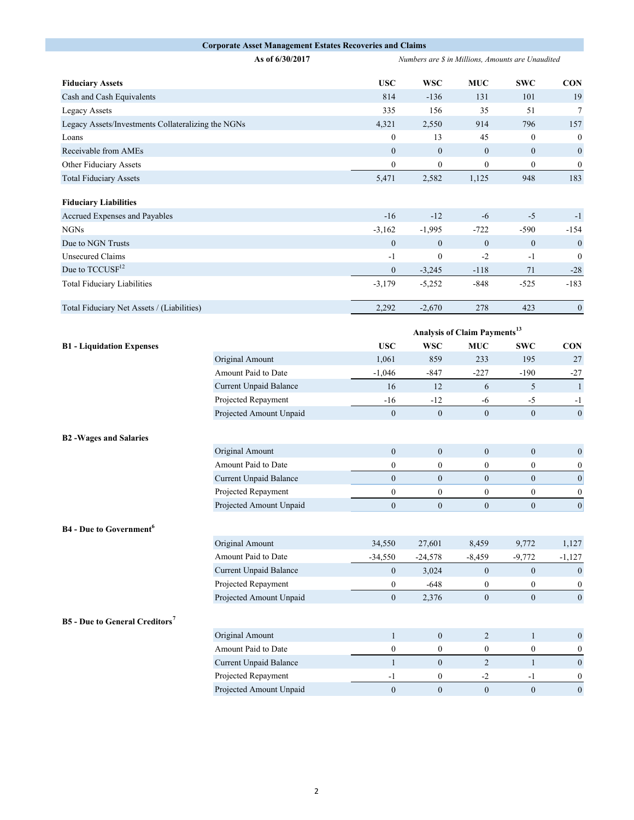|                                                    | <b>Corporate Asset Management Estates Recoveries and Claims</b> |                                                   |                  |                                          |                  |                  |
|----------------------------------------------------|-----------------------------------------------------------------|---------------------------------------------------|------------------|------------------------------------------|------------------|------------------|
|                                                    | As of 6/30/2017                                                 | Numbers are \$ in Millions, Amounts are Unaudited |                  |                                          |                  |                  |
| <b>Fiduciary Assets</b>                            |                                                                 | <b>USC</b>                                        | <b>WSC</b>       | <b>MUC</b>                               | <b>SWC</b>       | <b>CON</b>       |
| Cash and Cash Equivalents                          |                                                                 | 814                                               | $-136$           | 131                                      | 101              | 19               |
| <b>Legacy Assets</b>                               |                                                                 | 335                                               | 156              | 35                                       | 51               | $7\phantom{.0}$  |
| Legacy Assets/Investments Collateralizing the NGNs |                                                                 | 4,321                                             | 2,550            | 914                                      | 796              | 157              |
| Loans                                              |                                                                 | $\mathbf{0}$                                      | 13               | 45                                       | $\boldsymbol{0}$ | $\boldsymbol{0}$ |
| Receivable from AMEs                               |                                                                 | $\mathbf{0}$                                      | $\boldsymbol{0}$ | $\boldsymbol{0}$                         | $\mathbf{0}$     | $\boldsymbol{0}$ |
| Other Fiduciary Assets                             |                                                                 | $\boldsymbol{0}$                                  | $\boldsymbol{0}$ | $\boldsymbol{0}$                         | $\boldsymbol{0}$ | $\boldsymbol{0}$ |
| <b>Total Fiduciary Assets</b>                      |                                                                 | 5,471                                             | 2,582            | 1,125                                    | 948              | 183              |
| <b>Fiduciary Liabilities</b>                       |                                                                 |                                                   |                  |                                          |                  |                  |
| Accrued Expenses and Payables                      |                                                                 | $-16$                                             | $-12$            | $-6$                                     | $-5$             | $-1$             |
| <b>NGNs</b>                                        |                                                                 | $-3,162$                                          | $-1,995$         | $-722$                                   | $-590$           | $-154$           |
| Due to NGN Trusts                                  |                                                                 | $\mathbf{0}$                                      | $\boldsymbol{0}$ | $\boldsymbol{0}$                         | $\mathbf{0}$     | $\boldsymbol{0}$ |
| <b>Unsecured Claims</b>                            |                                                                 | $-1$                                              | $\boldsymbol{0}$ | $-2$                                     | $-1$             | $\boldsymbol{0}$ |
| Due to TCCUSF <sup>12</sup>                        |                                                                 | $\boldsymbol{0}$                                  | $-3,245$         | $-118$                                   | $71\,$           | $\textbf{-28}$   |
| <b>Total Fiduciary Liabilities</b>                 |                                                                 | $-3,179$                                          | $-5,252$         | $-848$                                   | $-525$           | $-183$           |
| Total Fiduciary Net Assets / (Liabilities)         |                                                                 | 2,292                                             | $-2,670$         | 278                                      | 423              | $\boldsymbol{0}$ |
|                                                    |                                                                 |                                                   |                  | Analysis of Claim Payments <sup>13</sup> |                  |                  |
| <b>B1</b> - Liquidation Expenses                   |                                                                 | <b>USC</b>                                        | <b>WSC</b>       | <b>MUC</b>                               | <b>SWC</b>       | <b>CON</b>       |
|                                                    | Original Amount                                                 | 1,061                                             | 859              | 233                                      | 195              | 27               |
|                                                    | Amount Paid to Date                                             | $-1,046$                                          | $-847$           | $-227$                                   | $-190$           | $-27$            |
|                                                    | Current Unpaid Balance                                          | 16                                                | 12               | 6                                        | 5                | $\overline{1}$   |
|                                                    | Projected Repayment                                             | $-16$                                             | $-12$            | $-6$                                     | $-5$             | $-1$             |
|                                                    | Projected Amount Unpaid                                         | $\mathbf{0}$                                      | $\boldsymbol{0}$ | $\mathbf{0}$                             | $\mathbf{0}$     | $\boldsymbol{0}$ |
|                                                    |                                                                 |                                                   |                  |                                          |                  |                  |
| <b>B2-Wages and Salaries</b>                       |                                                                 |                                                   |                  |                                          |                  |                  |
|                                                    | Original Amount                                                 | $\mathbf{0}$                                      | $\boldsymbol{0}$ | $\boldsymbol{0}$                         | $\boldsymbol{0}$ | $\boldsymbol{0}$ |
|                                                    | Amount Paid to Date                                             | $\boldsymbol{0}$                                  | $\boldsymbol{0}$ | $\mathbf{0}$                             | $\boldsymbol{0}$ | $\boldsymbol{0}$ |
|                                                    | Current Unpaid Balance                                          | $\mathbf{0}$                                      | $\boldsymbol{0}$ | $\boldsymbol{0}$                         | $\boldsymbol{0}$ | $\boldsymbol{0}$ |
|                                                    | Projected Repayment                                             | $\boldsymbol{0}$                                  | $\boldsymbol{0}$ | $\boldsymbol{0}$                         | $\boldsymbol{0}$ | $\boldsymbol{0}$ |
|                                                    | Projected Amount Unpaid                                         | $\boldsymbol{0}$                                  | $\boldsymbol{0}$ | $\boldsymbol{0}$                         | $\boldsymbol{0}$ | $\boldsymbol{0}$ |
| <b>B4</b> - Due to Government <sup>6</sup>         |                                                                 |                                                   |                  |                                          |                  |                  |
|                                                    | Original Amount                                                 | 34,550                                            | 27,601           | 8,459                                    | 9,772            | 1,127            |
|                                                    | Amount Paid to Date                                             | $-34,550$                                         | $-24,578$        | $-8,459$                                 | $-9,772$         | $-1,127$         |
|                                                    | Current Unpaid Balance                                          | $\mathbf{0}$                                      | 3,024            | $\mathbf{0}$                             | $\mathbf{0}$     | $\boldsymbol{0}$ |
|                                                    | Projected Repayment                                             | $\bf{0}$                                          | $-648$           | $\bf{0}$                                 | $\boldsymbol{0}$ | $\boldsymbol{0}$ |
|                                                    | Projected Amount Unpaid                                         | $\mathbf{0}$                                      | 2,376            | $\mathbf{0}$                             | $\boldsymbol{0}$ | $\boldsymbol{0}$ |
| <b>B5</b> - Due to General Creditors <sup>7</sup>  |                                                                 |                                                   |                  |                                          |                  |                  |
|                                                    | Original Amount                                                 | $\mathbf{1}$                                      | $\boldsymbol{0}$ | $\overline{c}$                           | $\mathbf{1}$     | $\boldsymbol{0}$ |
|                                                    | Amount Paid to Date                                             | $\boldsymbol{0}$                                  | $\boldsymbol{0}$ | $\boldsymbol{0}$                         | $\boldsymbol{0}$ | $\boldsymbol{0}$ |
|                                                    | Current Unpaid Balance                                          | $\mathbf{1}$                                      | $\boldsymbol{0}$ | $\overline{2}$                           | $\mathbf{1}$     | $\boldsymbol{0}$ |
|                                                    | Projected Repayment                                             | $-1$                                              | $\boldsymbol{0}$ | $-2$                                     | $-1$             | $\boldsymbol{0}$ |
|                                                    | Projected Amount Unpaid                                         | $\overline{0}$                                    | $\boldsymbol{0}$ | $\mathbf{0}$                             | $\mathbf{0}$     | $\boldsymbol{0}$ |